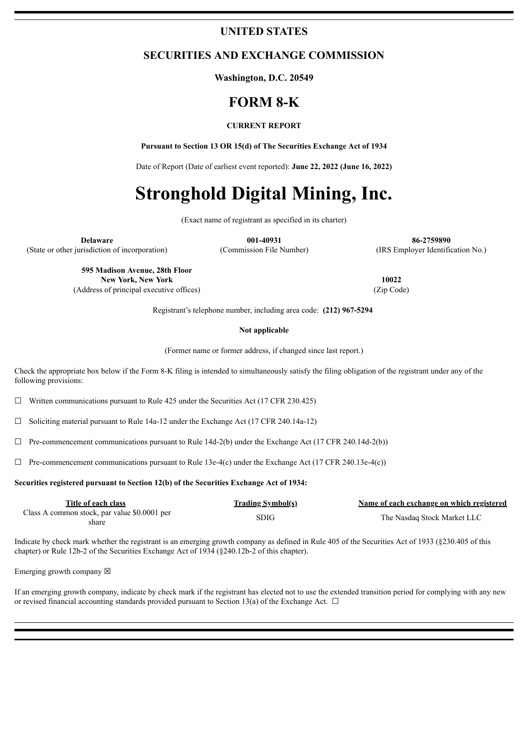# **UNITED STATES**

# **SECURITIES AND EXCHANGE COMMISSION**

**Washington, D.C. 20549**

# **FORM 8-K**

#### **CURRENT REPORT**

**Pursuant to Section 13 OR 15(d) of The Securities Exchange Act of 1934**

Date of Report (Date of earliest event reported): **June 22, 2022 (June 16, 2022)**

# **Stronghold Digital Mining, Inc.**

(Exact name of registrant as specified in its charter)

**Delaware 001-40931 86-2759890** (State or other jurisdiction of incorporation) (Commission File Number) (IRS Employer Identification No.)

> **595 Madison Avenue, 28th Floor New York, New York 10022** (Address of principal executive offices) (Zip Code)

Registrant's telephone number, including area code: **(212) 967-5294**

#### **Not applicable**

(Former name or former address, if changed since last report.)

Check the appropriate box below if the Form 8-K filing is intended to simultaneously satisfy the filing obligation of the registrant under any of the following provisions:

 $\Box$  Written communications pursuant to Rule 425 under the Securities Act (17 CFR 230.425)

 $\Box$  Soliciting material pursuant to Rule 14a-12 under the Exchange Act (17 CFR 240.14a-12)

 $\Box$  Pre-commencement communications pursuant to Rule 14d-2(b) under the Exchange Act (17 CFR 240.14d-2(b))

 $\Box$  Pre-commencement communications pursuant to Rule 13e-4(c) under the Exchange Act (17 CFR 240.13e-4(c))

#### **Securities registered pursuant to Section 12(b) of the Securities Exchange Act of 1934:**

| Title of each class                          | <b>Trading Symbol(s)</b> | Name of each exchange on which registered |
|----------------------------------------------|--------------------------|-------------------------------------------|
| Class A common stock, par value \$0.0001 per | <b>SDIG</b>              | The Nasdaq Stock Market LLC               |
| share                                        |                          |                                           |

Indicate by check mark whether the registrant is an emerging growth company as defined in Rule 405 of the Securities Act of 1933 (§230.405 of this chapter) or Rule 12b-2 of the Securities Exchange Act of 1934 (§240.12b-2 of this chapter).

Emerging growth company  $\boxtimes$ 

If an emerging growth company, indicate by check mark if the registrant has elected not to use the extended transition period for complying with any new or revised financial accounting standards provided pursuant to Section 13(a) of the Exchange Act.  $\Box$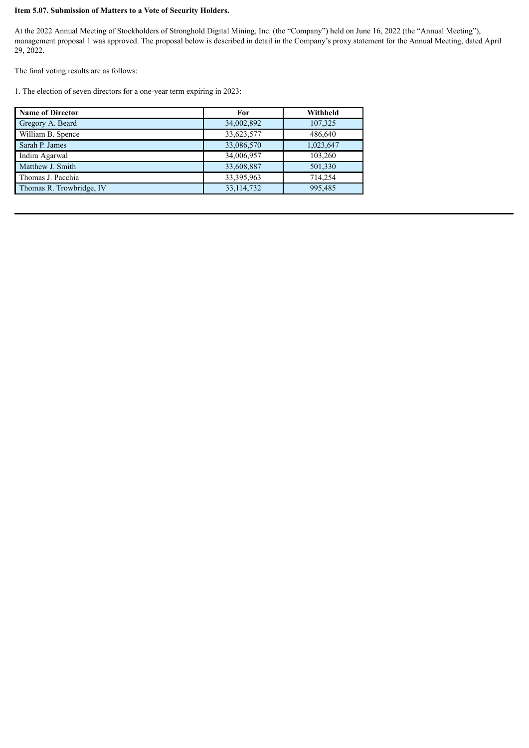## **Item 5.07. Submission of Matters to a Vote of Security Holders.**

At the 2022 Annual Meeting of Stockholders of Stronghold Digital Mining, Inc. (the "Company") held on June 16, 2022 (the "Annual Meeting"), management proposal 1 was approved. The proposal below is described in detail in the Company's proxy statement for the Annual Meeting, dated April 29, 2022.

The final voting results are as follows:

1. The election of seven directors for a one-year term expiring in 2023:

| <b>Name of Director</b>  | For          | Withheld  |
|--------------------------|--------------|-----------|
| Gregory A. Beard         | 34,002,892   | 107,325   |
| William B. Spence        | 33,623,577   | 486,640   |
| Sarah P. James           | 33,086,570   | 1,023,647 |
| Indira Agarwal           | 34,006,957   | 103,260   |
| Matthew J. Smith         | 33,608,887   | 501,330   |
| Thomas J. Pacchia        | 33,395,963   | 714,254   |
| Thomas R. Trowbridge, IV | 33, 114, 732 | 995,485   |